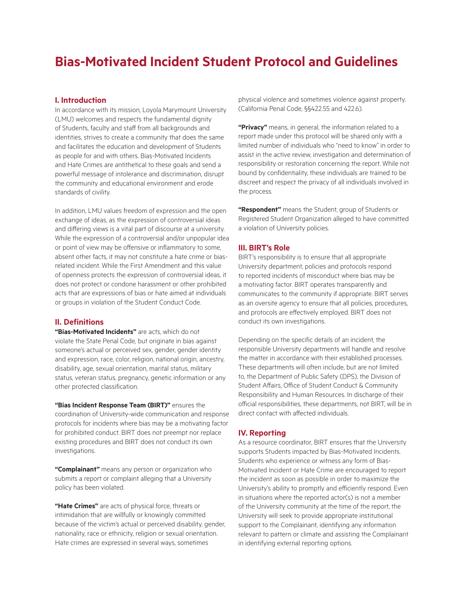# **Bias-Motivated Incident Student Protocol and Guidelines**

## **I. Introduction**

In accordance with its mission, Loyola Marymount University (LMU) welcomes and respects the fundamental dignity of Students, faculty and staff from all backgrounds and identities, strives to create a community that does the same and facilitates the education and development of Students as people for and with others. Bias-Motivated Incidents and Hate Crimes are antithetical to these goals and send a powerful message of intolerance and discrimination, disrupt the community and educational environment and erode standards of civility.

In addition, LMU values freedom of expression and the open exchange of ideas, as the expression of controversial ideas and differing views is a vital part of discourse at a university. While the expression of a controversial and/or unpopular idea or point of view may be offensive or inflammatory to some, absent other facts, it may not constitute a hate crime or biasrelated incident. While the First Amendment and this value of openness protects the expression of controversial ideas, it does not protect or condone harassment or other prohibited acts that are expressions of bias or hate aimed at individuals or groups in violation of the Student Conduct Code.

## **II. Definitions**

**"Bias-Motivated Incidents"** are acts, which do not violate the State Penal Code, but originate in bias against someone's actual or perceived sex, gender, gender identity and expression, race, color, religion, national origin, ancestry, disability, age, sexual orientation, marital status, military status, veteran status, pregnancy, genetic information or any other protected classification.

**"Bias Incident Response Team (BIRT)"** ensures the coordination of University-wide communication and response protocols for incidents where bias may be a motivating factor for prohibited conduct. BIRT does not preempt nor replace existing procedures and BIRT does not conduct its own investigations.

**"Complainant"** means any person or organization who submits a report or complaint alleging that a University policy has been violated.

**"Hate Crimes"** are acts of physical force, threats or intimidation that are willfully or knowingly committed because of the victim's actual or perceived disability, gender, nationality, race or ethnicity, religion or sexual orientation. Hate crimes are expressed in several ways, sometimes

physical violence and sometimes violence against property. (California Penal Code, §§422.55 and 422.6).

**"Privacy"** means, in general, the information related to a report made under this protocol will be shared only with a limited number of individuals who "need to know" in order to assist in the active review, investigation and determination of responsibility or restoration concerning the report. While not bound by confidentiality, these individuals are trained to be discreet and respect the privacy of all individuals involved in the process.

**"Respondent"** means the Student, group of Students or Registered Student Organization alleged to have committed a violation of University policies.

## **III. BIRT's Role**

BIRT's responsibility is to ensure that all appropriate University department, policies and protocols respond to reported incidents of misconduct where bias may be a motivating factor. BIRT operates transparently and communicates to the community if appropriate. BIRT serves as an oversite agency to ensure that all policies, procedures, and protocols are effectively employed. BIRT does not conduct its own investigations.

Depending on the specific details of an incident, the responsible University departments will handle and resolve the matter in accordance with their established processes. These departments will often include, but are not limited to, the Department of Public Safety (DPS), the Division of Student Affairs, Office of Student Conduct & Community Responsibility and Human Resources. In discharge of their official responsibilities, these departments, not BIRT, will be in direct contact with affected individuals.

## **IV. Reporting**

As a resource coordinator, BIRT ensures that the University supports Students impacted by Bias-Motivated Incidents. Students who experience or witness any form of Bias-Motivated Incident or Hate Crime are encouraged to report the incident as soon as possible in order to maximize the University's ability to promptly and efficiently respond. Even in situations where the reported actor(s) is not a member of the University community at the time of the report, the University will seek to provide appropriate institutional support to the Complainant, identifying any information relevant to pattern or climate and assisting the Complainant in identifying external reporting options.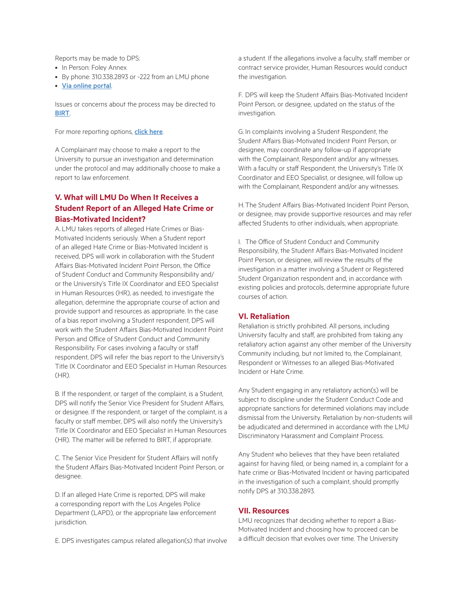Reports may be made to DPS:

- In Person: Foley Annex
- By phone: 310.338.2893 or -222 from an LMU phone
- [Via online portal](https://mylmu.co1.qualtrics.com/jfe/form/SV_40Db9RHLc4zJnGB?Q_JFE=qdg ).

Issues or concerns about the process may be directed to [BIRT](https://resources.lmu.edu/dei/reportdiscriminationbiasincidents/biasincidentresponseteambirt/contactbirt/ ).

For more reporting options, **[click here](https://resources.lmu.edu/dei/reportdiscriminationbiasincidents/ ).** 

A Complainant may choose to make a report to the University to pursue an investigation and determination under the protocol and may additionally choose to make a report to law enforcement.

## **V. What will LMU Do When It Receives a Student Report of an Alleged Hate Crime or Bias-Motivated Incident?**

A. LMU takes reports of alleged Hate Crimes or Bias-Motivated Incidents seriously. When a Student report of an alleged Hate Crime or Bias-Motivated Incident is received, DPS will work in collaboration with the Student Affairs Bias-Motivated Incident Point Person, the Office of Student Conduct and Community Responsibility and/ or the University's Title IX Coordinator and EEO Specialist in Human Resources (HR), as needed, to investigate the allegation, determine the appropriate course of action and provide support and resources as appropriate. In the case of a bias report involving a Student respondent, DPS will work with the Student Affairs Bias-Motivated Incident Point Person and Office of Student Conduct and Community Responsibility. For cases involving a faculty or staff respondent, DPS will refer the bias report to the University's Title IX Coordinator and EEO Specialist in Human Resources (HR).

B. If the respondent, or target of the complaint, is a Student, DPS will notify the Senior Vice President for Student Affairs, or designee. If the respondent, or target of the complaint, is a faculty or staff member, DPS will also notify the University's Title IX Coordinator and EEO Specialist in Human Resources (HR). The matter will be referred to BIRT, if appropriate.

C. The Senior Vice President for Student Affairs will notify the Student Affairs Bias-Motivated Incident Point Person, or designee.

D. If an alleged Hate Crime is reported, DPS will make a corresponding report with the Los Angeles Police Department (LAPD), or the appropriate law enforcement jurisdiction.

E. DPS investigates campus related allegation(s) that involve

a student. If the allegations involve a faculty, staff member or contract service provider, Human Resources would conduct the investigation.

F. DPS will keep the Student Affairs Bias-Motivated Incident Point Person, or designee, updated on the status of the investigation.

G. In complaints involving a Student Respondent, the Student Affairs Bias-Motivated Incident Point Person, or designee, may coordinate any follow-up if appropriate with the Complainant, Respondent and/or any witnesses. With a faculty or staff Respondent, the University's Title IX Coordinator and EEO Specialist, or designee, will follow up with the Complainant, Respondent and/or any witnesses.

H.The Student Affairs Bias-Motivated Incident Point Person, or designee, may provide supportive resources and may refer affected Students to other individuals, when appropriate.

I. The Office of Student Conduct and Community Responsibility, the Student Affairs Bias-Motivated Incident Point Person, or designee, will review the results of the investigation in a matter involving a Student or Registered Student Organization respondent and, in accordance with existing policies and protocols, determine appropriate future courses of action.

#### **VI. Retaliation**

Retaliation is strictly prohibited. All persons, including University faculty and staff, are prohibited from taking any retaliatory action against any other member of the University Community including, but not limited to, the Complainant, Respondent or Witnesses to an alleged Bias-Motivated Incident or Hate Crime.

Any Student engaging in any retaliatory action(s) will be subject to discipline under the Student Conduct Code and appropriate sanctions for determined violations may include dismissal from the University. Retaliation by non-students will be adjudicated and determined in accordance with the LMU Discriminatory Harassment and Complaint Process.

Any Student who believes that they have been retaliated against for having filed, or being named in, a complaint for a hate crime or Bias-Motivated Incident or having participated in the investigation of such a complaint, should promptly notify DPS at 310.338.2893.

#### **VII. Resources**

LMU recognizes that deciding whether to report a Bias-Motivated Incident and choosing how to proceed can be a difficult decision that evolves over time. The University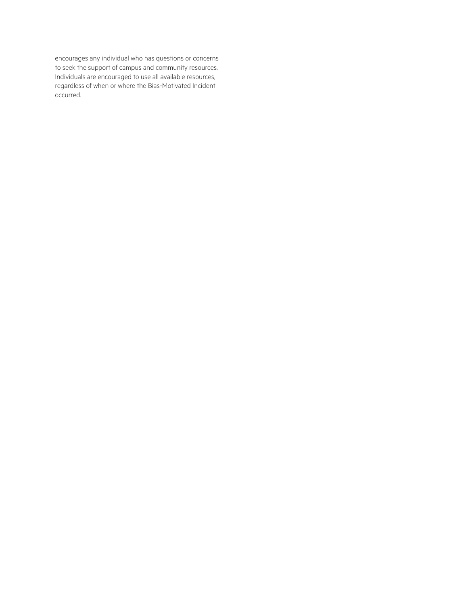encourages any individual who has questions or concerns to seek the support of campus and community resources. Individuals are encouraged to use all available resources, regardless of when or where the Bias-Motivated Incident occurred.